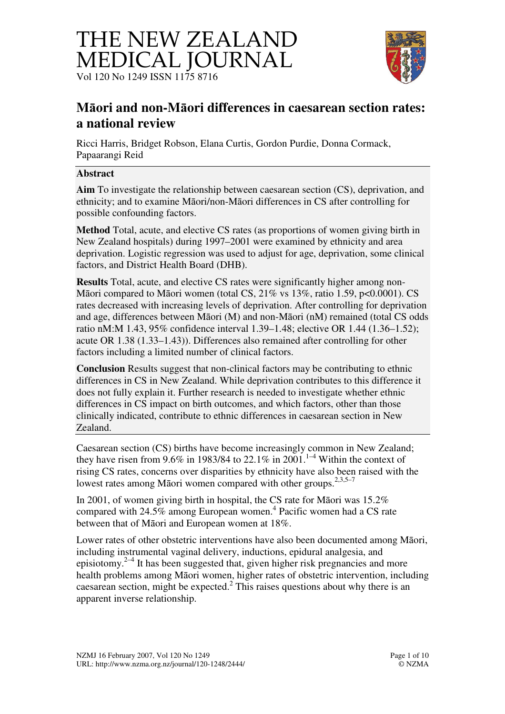



# **M**ā**ori and non-M**ā**ori differences in caesarean section rates: a national review**

Ricci Harris, Bridget Robson, Elana Curtis, Gordon Purdie, Donna Cormack, Papaarangi Reid

#### **Abstract**

**Aim** To investigate the relationship between caesarean section (CS), deprivation, and ethnicity; and to examine Māori/non-Māori differences in CS after controlling for possible confounding factors.

**Method** Total, acute, and elective CS rates (as proportions of women giving birth in New Zealand hospitals) during 1997–2001 were examined by ethnicity and area deprivation. Logistic regression was used to adjust for age, deprivation, some clinical factors, and District Health Board (DHB).

**Results** Total, acute, and elective CS rates were significantly higher among non-Māori compared to Māori women (total CS, 21% vs 13%, ratio 1.59, p<0.0001). CS rates decreased with increasing levels of deprivation. After controlling for deprivation and age, differences between Māori (M) and non-Māori (nM) remained (total CS odds ratio nM:M 1.43, 95% confidence interval 1.39–1.48; elective OR 1.44 (1.36–1.52); acute OR 1.38 (1.33–1.43)). Differences also remained after controlling for other factors including a limited number of clinical factors.

**Conclusion** Results suggest that non-clinical factors may be contributing to ethnic differences in CS in New Zealand. While deprivation contributes to this difference it does not fully explain it. Further research is needed to investigate whether ethnic differences in CS impact on birth outcomes, and which factors, other than those clinically indicated, contribute to ethnic differences in caesarean section in New Zealand.

Caesarean section (CS) births have become increasingly common in New Zealand; they have risen from 9.6% in 1983/84 to 22.1% in 2001.<sup>1-4</sup> Within the context of rising CS rates, concerns over disparities by ethnicity have also been raised with the lowest rates among Māori women compared with other groups.<sup>2,3,5–7</sup>

In 2001, of women giving birth in hospital, the CS rate for Māori was 15.2% compared with 24.5% among European women.<sup>4</sup> Pacific women had a CS rate between that of Māori and European women at 18%.

Lower rates of other obstetric interventions have also been documented among Māori, including instrumental vaginal delivery, inductions, epidural analgesia, and episiotomy.<sup>2–4</sup> It has been suggested that, given higher risk pregnancies and more health problems among Māori women, higher rates of obstetric intervention, including caesarean section, might be expected.<sup>2</sup> This raises questions about why there is an apparent inverse relationship.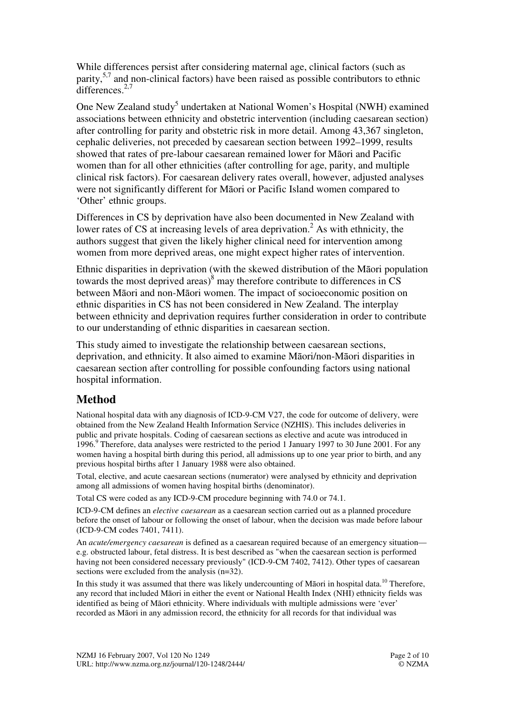While differences persist after considering maternal age, clinical factors (such as parity,5,7 and non-clinical factors) have been raised as possible contributors to ethnic differences.<sup>2,7</sup>

One New Zealand study<sup>5</sup> undertaken at National Women's Hospital (NWH) examined associations between ethnicity and obstetric intervention (including caesarean section) after controlling for parity and obstetric risk in more detail. Among 43,367 singleton, cephalic deliveries, not preceded by caesarean section between 1992–1999, results showed that rates of pre-labour caesarean remained lower for Māori and Pacific women than for all other ethnicities (after controlling for age, parity, and multiple clinical risk factors). For caesarean delivery rates overall, however, adjusted analyses were not significantly different for Māori or Pacific Island women compared to 'Other' ethnic groups.

Differences in CS by deprivation have also been documented in New Zealand with lower rates of CS at increasing levels of area deprivation.<sup>2</sup> As with ethnicity, the authors suggest that given the likely higher clinical need for intervention among women from more deprived areas, one might expect higher rates of intervention.

Ethnic disparities in deprivation (with the skewed distribution of the Māori population towards the most deprived areas) $\delta$  may therefore contribute to differences in CS between Māori and non-Māori women. The impact of socioeconomic position on ethnic disparities in CS has not been considered in New Zealand. The interplay between ethnicity and deprivation requires further consideration in order to contribute to our understanding of ethnic disparities in caesarean section.

This study aimed to investigate the relationship between caesarean sections, deprivation, and ethnicity. It also aimed to examine Māori/non-Māori disparities in caesarean section after controlling for possible confounding factors using national hospital information.

# **Method**

National hospital data with any diagnosis of ICD-9-CM V27, the code for outcome of delivery, were obtained from the New Zealand Health Information Service (NZHIS). This includes deliveries in public and private hospitals. Coding of caesarean sections as elective and acute was introduced in 1996.<sup>9</sup> Therefore, data analyses were restricted to the period 1 January 1997 to 30 June 2001. For any women having a hospital birth during this period, all admissions up to one year prior to birth, and any previous hospital births after 1 January 1988 were also obtained.

Total, elective, and acute caesarean sections (numerator) were analysed by ethnicity and deprivation among all admissions of women having hospital births (denominator).

Total CS were coded as any ICD-9-CM procedure beginning with 74.0 or 74.1.

ICD-9-CM defines an *elective caesarean* as a caesarean section carried out as a planned procedure before the onset of labour or following the onset of labour, when the decision was made before labour (ICD-9-CM codes 7401, 7411).

An *acute/emergency caesarean* is defined as a caesarean required because of an emergency situation e.g. obstructed labour, fetal distress. It is best described as "when the caesarean section is performed having not been considered necessary previously" (ICD-9-CM 7402, 7412). Other types of caesarean sections were excluded from the analysis (n=32).

In this study it was assumed that there was likely undercounting of Māori in hospital data.<sup>10</sup> Therefore, any record that included Māori in either the event or National Health Index (NHI) ethnicity fields was identified as being of Māori ethnicity. Where individuals with multiple admissions were 'ever' recorded as Māori in any admission record, the ethnicity for all records for that individual was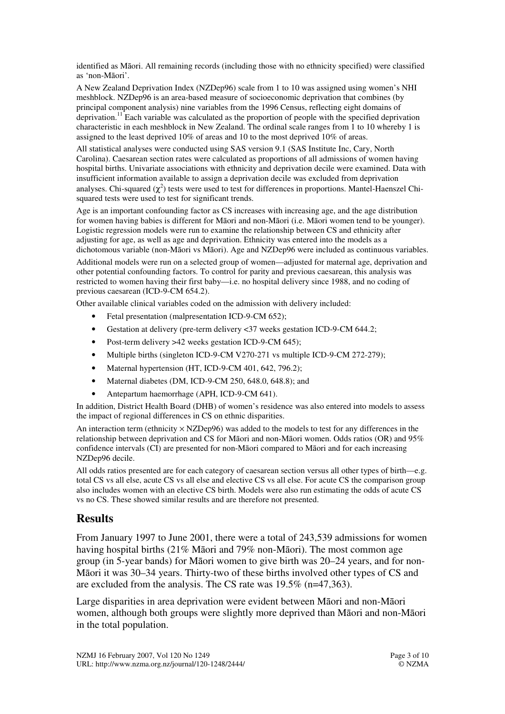identified as Māori. All remaining records (including those with no ethnicity specified) were classified as 'non-Māori'.

A New Zealand Deprivation Index (NZDep96) scale from 1 to 10 was assigned using women's NHI meshblock. NZDep96 is an area-based measure of socioeconomic deprivation that combines (by principal component analysis) nine variables from the 1996 Census, reflecting eight domains of deprivation.<sup>11</sup> Each variable was calculated as the proportion of people with the specified deprivation characteristic in each meshblock in New Zealand. The ordinal scale ranges from 1 to 10 whereby 1 is assigned to the least deprived 10% of areas and 10 to the most deprived 10% of areas.

All statistical analyses were conducted using SAS version 9.1 (SAS Institute Inc, Cary, North Carolina). Caesarean section rates were calculated as proportions of all admissions of women having hospital births. Univariate associations with ethnicity and deprivation decile were examined. Data with insufficient information available to assign a deprivation decile was excluded from deprivation analyses. Chi-squared  $(\chi^2)$  tests were used to test for differences in proportions. Mantel-Haenszel Chisquared tests were used to test for significant trends.

Age is an important confounding factor as CS increases with increasing age, and the age distribution for women having babies is different for Māori and non-Māori (i.e. Māori women tend to be younger). Logistic regression models were run to examine the relationship between CS and ethnicity after adjusting for age, as well as age and deprivation. Ethnicity was entered into the models as a dichotomous variable (non-Māori vs Māori). Age and NZDep96 were included as continuous variables.

Additional models were run on a selected group of women—adjusted for maternal age, deprivation and other potential confounding factors. To control for parity and previous caesarean, this analysis was restricted to women having their first baby—i.e. no hospital delivery since 1988, and no coding of previous caesarean (ICD-9-CM 654.2).

Other available clinical variables coded on the admission with delivery included:

- Fetal presentation (malpresentation ICD-9-CM 652);
- Gestation at delivery (pre-term delivery <37 weeks gestation ICD-9-CM 644.2;
- Post-term delivery >42 weeks gestation ICD-9-CM 645);
- Multiple births (singleton ICD-9-CM V270-271 vs multiple ICD-9-CM 272-279);
- Maternal hypertension (HT, ICD-9-CM 401, 642, 796.2);
- Maternal diabetes (DM, ICD-9-CM 250, 648.0, 648.8); and
- Antepartum haemorrhage (APH, ICD-9-CM 641).

In addition, District Health Board (DHB) of women's residence was also entered into models to assess the impact of regional differences in CS on ethnic disparities.

An interaction term (ethnicity  $\times$  NZDep96) was added to the models to test for any differences in the relationship between deprivation and CS for Māori and non-Māori women. Odds ratios (OR) and 95% confidence intervals (CI) are presented for non-Māori compared to Māori and for each increasing NZDep96 decile.

All odds ratios presented are for each category of caesarean section versus all other types of birth—e.g. total CS vs all else, acute CS vs all else and elective CS vs all else. For acute CS the comparison group also includes women with an elective CS birth. Models were also run estimating the odds of acute CS vs no CS. These showed similar results and are therefore not presented.

## **Results**

From January 1997 to June 2001, there were a total of 243,539 admissions for women having hospital births (21% Māori and 79% non-Māori). The most common age group (in 5-year bands) for Māori women to give birth was 20–24 years, and for non-Māori it was 30–34 years. Thirty-two of these births involved other types of CS and are excluded from the analysis. The CS rate was 19.5% (n=47,363).

Large disparities in area deprivation were evident between Māori and non-Māori women, although both groups were slightly more deprived than Māori and non-Māori in the total population.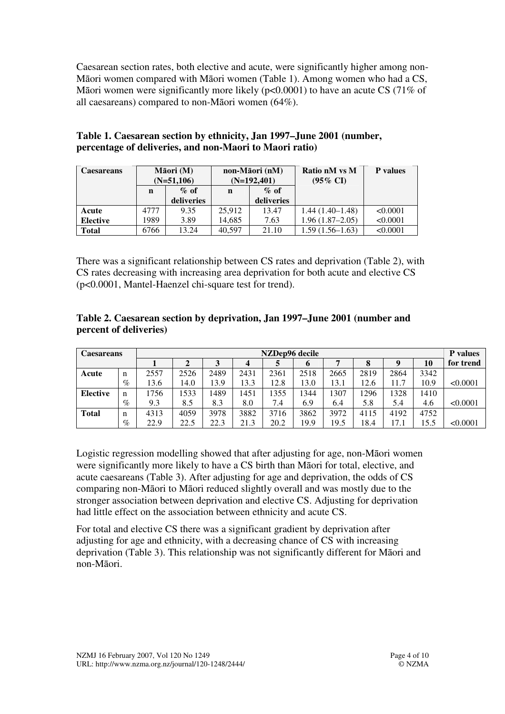Caesarean section rates, both elective and acute, were significantly higher among non-Māori women compared with Māori women (Table 1). Among women who had a CS, Māori women were significantly more likely (p<0.0001) to have an acute CS (71% of all caesareans) compared to non-Māori women (64%).

| Caesareans      | Māori (M)<br>$(N=51,106)$ |            |        | non-Māori (nM)<br>$(N=192,401)$ | Ratio nM vs M<br>$(95\% \text{ CI})$ | <b>P</b> values |
|-----------------|---------------------------|------------|--------|---------------------------------|--------------------------------------|-----------------|
|                 | n                         | $\%$ of    | n      | $\%$ of                         |                                      |                 |
|                 |                           | deliveries |        | deliveries                      |                                      |                 |
| Acute           | 4777                      | 9.35       | 25,912 | 13.47                           | $1.44(1.40-1.48)$                    | < 0.0001        |
| <b>Elective</b> | 1989                      | 3.89       | 14.685 | 7.63                            | $1.96(1.87-2.05)$                    | < 0.0001        |
| <b>Total</b>    | 6766                      | 13.24      | 40.597 | 21.10                           | $1.59(1.56-1.63)$                    | < 0.0001        |

### **Table 1. Caesarean section by ethnicity, Jan 1997–June 2001 (number, percentage of deliveries, and non-Maori to Maori ratio)**

There was a significant relationship between CS rates and deprivation (Table 2), with CS rates decreasing with increasing area deprivation for both acute and elective CS (p<0.0001, Mantel-Haenzel chi-square test for trend).

#### **Table 2. Caesarean section by deprivation, Jan 1997–June 2001 (number and percent of deliveries)**

| <b>Caesareans</b> |   | NZDep96 decile |                |      |      |      |      | <b>P</b> values |      |      |      |           |
|-------------------|---|----------------|----------------|------|------|------|------|-----------------|------|------|------|-----------|
|                   |   |                | $\overline{ }$ |      |      |      | o    |                 |      |      | 10   | for trend |
| Acute             | n | 2557           | 2526           | 2489 | 2431 | 2361 | 2518 | 2665            | 2819 | 2864 | 3342 |           |
|                   | % | 13.6           | 14.0           | 13.9 | 13.3 | 12.8 | 13.0 | 13.1            | 12.6 | 11.7 | 10.9 | < 0.0001  |
| <b>Elective</b>   | n | 1756           | 1533           | 1489 | 1451 | 1355 | 1344 | 307             | 1296 | 1328 | 1410 |           |
|                   | % | 9.3            | 8.5            | 8.3  | 8.0  | 7.4  | 6.9  | 6.4             | 5.8  | 5.4  | 4.6  | < 0.0001  |
| <b>Total</b>      | n | 4313           | 4059           | 3978 | 3882 | 3716 | 3862 | 3972            | 4115 | 4192 | 4752 |           |
|                   | % | 22.9           | 22.5           | 22.3 | 21.3 | 20.2 | 19.9 | 19.5            | 18.4 | 17.1 | 15.5 | < 0.0001  |

Logistic regression modelling showed that after adjusting for age, non-Māori women were significantly more likely to have a CS birth than Māori for total, elective, and acute caesareans (Table 3). After adjusting for age and deprivation, the odds of CS comparing non-Māori to Māori reduced slightly overall and was mostly due to the stronger association between deprivation and elective CS. Adjusting for deprivation had little effect on the association between ethnicity and acute CS.

For total and elective CS there was a significant gradient by deprivation after adjusting for age and ethnicity, with a decreasing chance of CS with increasing deprivation (Table 3). This relationship was not significantly different for Māori and non-Māori.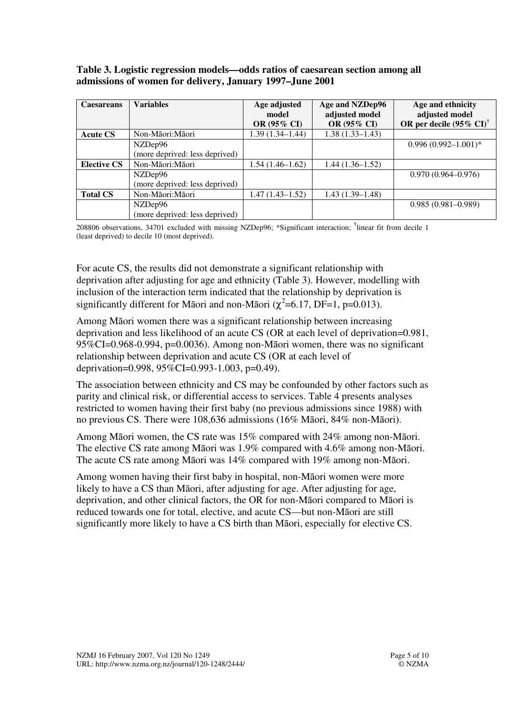#### **Table 3. Logistic regression models—odds ratios of caesarean section among all admissions of women for delivery, January 1997–June 2001**

| <b>Caesareans</b>  | <b>Variables</b>                          | Age adjusted<br>model<br><b>OR (95% CI)</b> | Age and NZDep96<br>adjusted model<br><b>OR (95% CI)</b> | Age and ethnicity<br>adjusted model<br>OR per decile $(95\% \text{ CI})^{\dagger}$ |
|--------------------|-------------------------------------------|---------------------------------------------|---------------------------------------------------------|------------------------------------------------------------------------------------|
| <b>Acute CS</b>    | Non-Māori:Māori                           | $1.39(1.34 - 1.44)$                         | $1.38(1.33 - 1.43)$                                     |                                                                                    |
|                    | NZDep96                                   |                                             |                                                         | $0.996(0.992 - 1.001)^*$                                                           |
|                    | (more deprived: less deprived)            |                                             |                                                         |                                                                                    |
| <b>Elective CS</b> | Non-Māori:Māori                           | $1.54(1.46-1.62)$                           | $1.44(1.36-1.52)$                                       |                                                                                    |
|                    | NZDep96<br>(more deprived: less deprived) |                                             |                                                         | $0.970(0.964 - 0.976)$                                                             |
| <b>Total CS</b>    | Non-Māori:Māori                           | $1.47(1.43 - 1.52)$                         | $1.43(1.39-1.48)$                                       |                                                                                    |
|                    | NZDep96                                   |                                             |                                                         | $0.985(0.981 - 0.989)$                                                             |
|                    | (more deprived: less deprived)            |                                             |                                                         |                                                                                    |

208806 observations, 34701 excluded with missing NZDep96; \*Significant interaction; **†** linear fit from decile 1 (least deprived) to decile 10 (most deprived).

For acute CS, the results did not demonstrate a significant relationship with deprivation after adjusting for age and ethnicity (Table 3). However, modelling with inclusion of the interaction term indicated that the relationship by deprivation is significantly different for Māori and non-Māori ( $\chi^2$ =6.17, DF=1, p=0.013).

Among Māori women there was a significant relationship between increasing deprivation and less likelihood of an acute CS (OR at each level of deprivation=0.981, 95%CI=0.968-0.994, p=0.0036). Among non-Māori women, there was no significant relationship between deprivation and acute CS (OR at each level of deprivation=0.998, 95%CI=0.993-1.003, p=0.49).

The association between ethnicity and CS may be confounded by other factors such as parity and clinical risk, or differential access to services. Table 4 presents analyses restricted to women having their first baby (no previous admissions since 1988) with no previous CS. There were 108,636 admissions (16% Māori, 84% non-Māori).

Among Māori women, the CS rate was 15% compared with 24% among non-Māori. The elective CS rate among Māori was 1.9% compared with 4.6% among non-Māori. The acute CS rate among Māori was 14% compared with 19% among non-Māori.

Among women having their first baby in hospital, non-Māori women were more likely to have a CS than Māori, after adjusting for age. After adjusting for age, deprivation, and other clinical factors, the OR for non-Māori compared to Māori is reduced towards one for total, elective, and acute CS—but non-Māori are still significantly more likely to have a CS birth than Māori, especially for elective CS.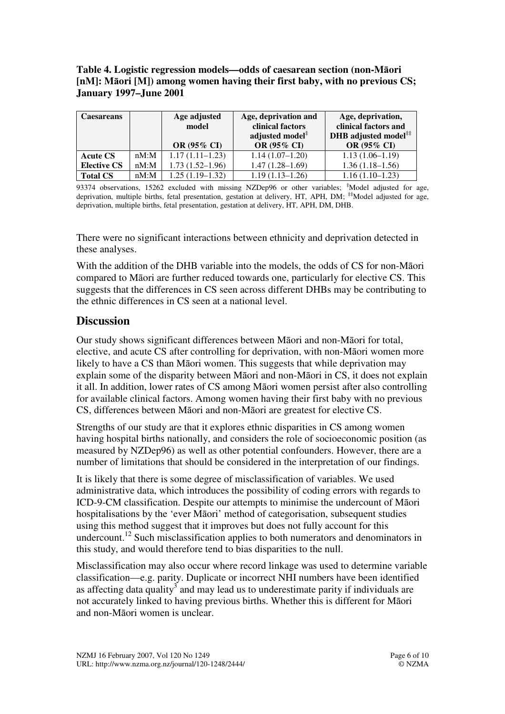#### **Table 4. Logistic regression models—odds of caesarean section (non-M**ā**ori [nM]: M**ā**ori [M]) among women having their first baby, with no previous CS; January 1997–June 2001**

| Caesareans         | Age adjusted<br>model |                     | Age, deprivation and<br>clinical factors | Age, deprivation,<br>clinical factors and |  |  |
|--------------------|-----------------------|---------------------|------------------------------------------|-------------------------------------------|--|--|
|                    |                       |                     | adjusted model <sup>#</sup>              | DHB adjusted model**                      |  |  |
|                    |                       | OR (95% CI)         | OR (95% CI)                              | OR (95% CI)                               |  |  |
| <b>Acute CS</b>    | nM: M                 | $1.17(1.11-1.23)$   | $1.14(1.07-1.20)$                        | $1.13(1.06-1.19)$                         |  |  |
| <b>Elective CS</b> | $nM:$ M               | $1.73(1.52 - 1.96)$ | $1.47(1.28 - 1.69)$                      | $1.36(1.18-1.56)$                         |  |  |
| <b>Total CS</b>    | $nM:$ M               | $1.25(1.19-1.32)$   | $1.19(1.13 - 1.26)$                      | $1.16(1.10-1.23)$                         |  |  |

<sup>93374</sup> observations, 15262 excluded with missing NZDep96 or other variables; **‡**Model adjusted for age, deprivation, multiple births, fetal presentation, gestation at delivery, HT, APH, DM; <sup>‡‡</sup>Model adjusted for age, deprivation, multiple births, fetal presentation, gestation at delivery, HT, APH, DM, DHB.

There were no significant interactions between ethnicity and deprivation detected in these analyses.

With the addition of the DHB variable into the models, the odds of CS for non-Māori compared to Māori are further reduced towards one, particularly for elective CS. This suggests that the differences in CS seen across different DHBs may be contributing to the ethnic differences in CS seen at a national level.

# **Discussion**

Our study shows significant differences between Māori and non-Māori for total, elective, and acute CS after controlling for deprivation, with non-Māori women more likely to have a CS than Māori women. This suggests that while deprivation may explain some of the disparity between Māori and non-Māori in CS, it does not explain it all. In addition, lower rates of CS among Māori women persist after also controlling for available clinical factors. Among women having their first baby with no previous CS, differences between Māori and non-Māori are greatest for elective CS.

Strengths of our study are that it explores ethnic disparities in CS among women having hospital births nationally, and considers the role of socioeconomic position (as measured by NZDep96) as well as other potential confounders. However, there are a number of limitations that should be considered in the interpretation of our findings.

It is likely that there is some degree of misclassification of variables. We used administrative data, which introduces the possibility of coding errors with regards to ICD-9-CM classification. Despite our attempts to minimise the undercount of Māori hospitalisations by the 'ever Māori' method of categorisation, subsequent studies using this method suggest that it improves but does not fully account for this undercount.<sup>12</sup> Such misclassification applies to both numerators and denominators in this study, and would therefore tend to bias disparities to the null.

Misclassification may also occur where record linkage was used to determine variable classification—e.g. parity. Duplicate or incorrect NHI numbers have been identified as affecting data quality<sup>3</sup> and may lead us to underestimate parity if individuals are not accurately linked to having previous births. Whether this is different for Māori and non-Māori women is unclear.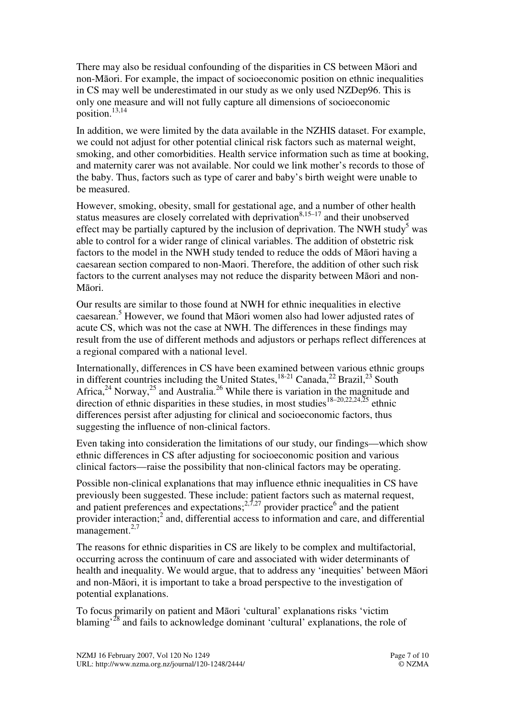There may also be residual confounding of the disparities in CS between Māori and non-Māori. For example, the impact of socioeconomic position on ethnic inequalities in CS may well be underestimated in our study as we only used NZDep96. This is only one measure and will not fully capture all dimensions of socioeconomic position.13,14

In addition, we were limited by the data available in the NZHIS dataset. For example, we could not adjust for other potential clinical risk factors such as maternal weight, smoking, and other comorbidities. Health service information such as time at booking, and maternity carer was not available. Nor could we link mother's records to those of the baby. Thus, factors such as type of carer and baby's birth weight were unable to be measured.

However, smoking, obesity, small for gestational age, and a number of other health status measures are closely correlated with deprivation $8,15-17$  and their unobserved effect may be partially captured by the inclusion of deprivation. The NWH study<sup>5</sup> was able to control for a wider range of clinical variables. The addition of obstetric risk factors to the model in the NWH study tended to reduce the odds of Māori having a caesarean section compared to non-Maori. Therefore, the addition of other such risk factors to the current analyses may not reduce the disparity between Māori and non-Māori.

Our results are similar to those found at NWH for ethnic inequalities in elective caesarean.<sup>5</sup> However, we found that Māori women also had lower adjusted rates of acute CS, which was not the case at NWH. The differences in these findings may result from the use of different methods and adjustors or perhaps reflect differences at a regional compared with a national level.

Internationally, differences in CS have been examined between various ethnic groups in different countries including the United States,  $^{18-21}$  Canada,  $^{22}$  Brazil,  $^{23}$  South Africa,<sup>24</sup> Norway,<sup>25</sup> and Australia.<sup>26</sup> While there is variation in the magnitude and direction of ethnic disparities in these studies, in most studies<sup>18–20,22,24,25</sup> ethnic differences persist after adjusting for clinical and socioeconomic factors, thus suggesting the influence of non-clinical factors.

Even taking into consideration the limitations of our study, our findings—which show ethnic differences in CS after adjusting for socioeconomic position and various clinical factors—raise the possibility that non-clinical factors may be operating.

Possible non-clinical explanations that may influence ethnic inequalities in CS have previously been suggested. These include: patient factors such as maternal request, and patient preferences and expectations;<sup>2,7,27</sup> provider practice<sup>6</sup> and the patient provider interaction;<sup>2</sup> and, differential access to information and care, and differential management. $2,7$ 

The reasons for ethnic disparities in CS are likely to be complex and multifactorial, occurring across the continuum of care and associated with wider determinants of health and inequality. We would argue, that to address any 'inequities' between Māori and non-Māori, it is important to take a broad perspective to the investigation of potential explanations.

To focus primarily on patient and Māori 'cultural' explanations risks 'victim blaming<sup>28</sup> and fails to acknowledge dominant 'cultural' explanations, the role of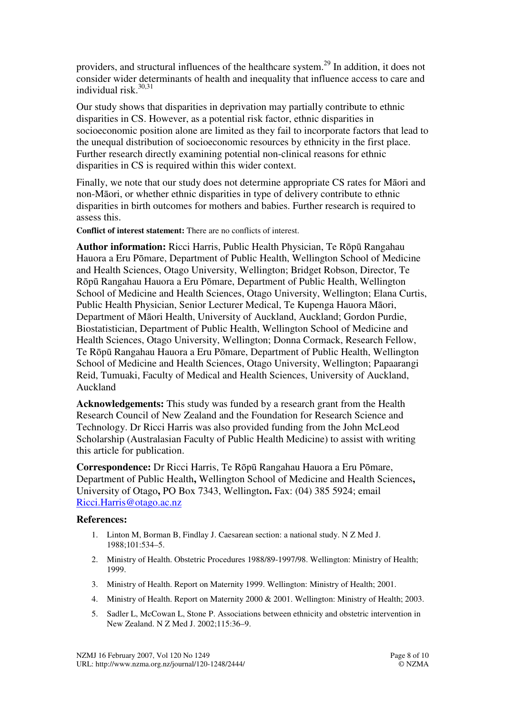providers, and structural influences of the healthcare system.<sup>29</sup> In addition, it does not consider wider determinants of health and inequality that influence access to care and individual risk.<sup>30,31</sup>

Our study shows that disparities in deprivation may partially contribute to ethnic disparities in CS. However, as a potential risk factor, ethnic disparities in socioeconomic position alone are limited as they fail to incorporate factors that lead to the unequal distribution of socioeconomic resources by ethnicity in the first place. Further research directly examining potential non-clinical reasons for ethnic disparities in CS is required within this wider context.

Finally, we note that our study does not determine appropriate CS rates for Māori and non-Māori, or whether ethnic disparities in type of delivery contribute to ethnic disparities in birth outcomes for mothers and babies. Further research is required to assess this.

**Conflict of interest statement:** There are no conflicts of interest.

**Author information:** Ricci Harris, Public Health Physician, Te Rōpū Rangahau Hauora a Eru Pōmare, Department of Public Health, Wellington School of Medicine and Health Sciences, Otago University, Wellington; Bridget Robson, Director, Te Rōpū Rangahau Hauora a Eru Pōmare, Department of Public Health, Wellington School of Medicine and Health Sciences, Otago University, Wellington; Elana Curtis, Public Health Physician, Senior Lecturer Medical, Te Kupenga Hauora Māori, Department of Māori Health, University of Auckland, Auckland; Gordon Purdie, Biostatistician, Department of Public Health, Wellington School of Medicine and Health Sciences, Otago University, Wellington; Donna Cormack, Research Fellow, Te Rōpū Rangahau Hauora a Eru Pōmare, Department of Public Health, Wellington School of Medicine and Health Sciences, Otago University, Wellington; Papaarangi Reid, Tumuaki, Faculty of Medical and Health Sciences, University of Auckland, Auckland

**Acknowledgements:** This study was funded by a research grant from the Health Research Council of New Zealand and the Foundation for Research Science and Technology. Dr Ricci Harris was also provided funding from the John McLeod Scholarship (Australasian Faculty of Public Health Medicine) to assist with writing this article for publication.

**Correspondence:** Dr Ricci Harris, Te Rōpū Rangahau Hauora a Eru Pōmare, Department of Public Health**,** Wellington School of Medicine and Health Sciences**,**  University of Otago**,** PO Box 7343, Wellington**.** Fax: (04) 385 5924; email Ricci.Harris@otago.ac.nz

#### **References:**

- 1. Linton M, Borman B, Findlay J. Caesarean section: a national study. N Z Med J. 1988;101:534–5.
- 2. Ministry of Health. Obstetric Procedures 1988/89-1997/98. Wellington: Ministry of Health; 1999.
- 3. Ministry of Health. Report on Maternity 1999. Wellington: Ministry of Health; 2001.
- 4. Ministry of Health. Report on Maternity 2000 & 2001. Wellington: Ministry of Health; 2003.
- 5. Sadler L, McCowan L, Stone P. Associations between ethnicity and obstetric intervention in New Zealand. N Z Med J. 2002;115:36–9.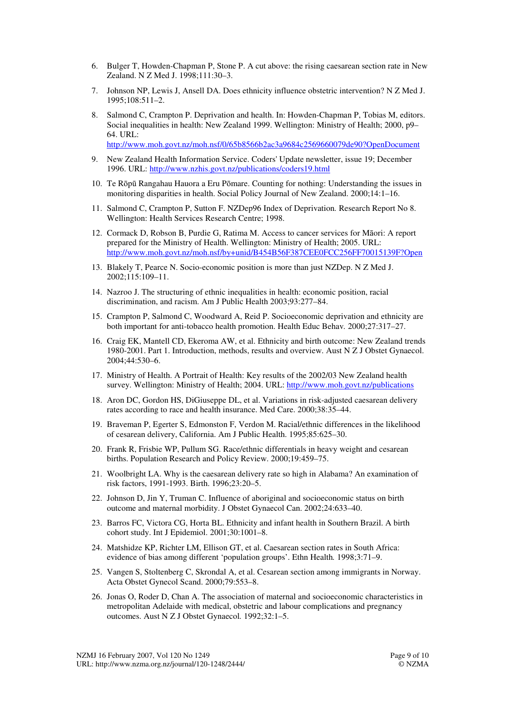- 6. Bulger T, Howden-Chapman P, Stone P. A cut above: the rising caesarean section rate in New Zealand. N Z Med J. 1998;111:30–3.
- 7. Johnson NP, Lewis J, Ansell DA. Does ethnicity influence obstetric intervention? N Z Med J. 1995;108:511–2.
- 8. Salmond C, Crampton P. Deprivation and health. In: Howden-Chapman P, Tobias M, editors. Social inequalities in health: New Zealand 1999. Wellington: Ministry of Health; 2000, p9– 64. URL: http://www.moh.govt.nz/moh.nsf/0/65b8566b2ac3a9684c2569660079de90?OpenDocument
- 9. New Zealand Health Information Service. Coders' Update newsletter, issue 19; December 1996. URL: http://www.nzhis.govt.nz/publications/coders19.html
- 10. Te Rōpū Rangahau Hauora a Eru Pōmare. Counting for nothing: Understanding the issues in monitoring disparities in health. Social Policy Journal of New Zealand. 2000;14:1–16.
- 11. Salmond C, Crampton P, Sutton F. NZDep96 Index of Deprivation*.* Research Report No 8. Wellington: Health Services Research Centre; 1998.
- 12. Cormack D, Robson B, Purdie G, Ratima M. Access to cancer services for Māori: A report prepared for the Ministry of Health. Wellington: Ministry of Health; 2005. URL: http://www.moh.govt.nz/moh.nsf/by+unid/B454B56F387CEE0FCC256FF70015139F?Open
- 13. Blakely T, Pearce N. Socio-economic position is more than just NZDep. N Z Med J. 2002;115:109–11.
- 14. Nazroo J. The structuring of ethnic inequalities in health: economic position, racial discrimination, and racism. Am J Public Health 2003;93:277–84.
- 15. Crampton P, Salmond C, Woodward A, Reid P. Socioeconomic deprivation and ethnicity are both important for anti-tobacco health promotion. Health Educ Behav*.* 2000;27:317–27.
- 16. Craig EK, Mantell CD, Ekeroma AW, et al. Ethnicity and birth outcome: New Zealand trends 1980-2001. Part 1. Introduction, methods, results and overview. Aust N Z J Obstet Gynaecol. 2004;44:530–6.
- 17. Ministry of Health. A Portrait of Health: Key results of the 2002/03 New Zealand health survey. Wellington: Ministry of Health; 2004. URL: http://www.moh.govt.nz/publications
- 18. Aron DC, Gordon HS, DiGiuseppe DL, et al. Variations in risk-adjusted caesarean delivery rates according to race and health insurance. Med Care. 2000;38:35–44.
- 19. Braveman P, Egerter S, Edmonston F, Verdon M. Racial/ethnic differences in the likelihood of cesarean delivery, California. Am J Public Health. 1995;85:625–30.
- 20. Frank R, Frisbie WP, Pullum SG. Race/ethnic differentials in heavy weight and cesarean births. Population Research and Policy Review. 2000;19:459–75.
- 21. Woolbright LA. Why is the caesarean delivery rate so high in Alabama? An examination of risk factors, 1991-1993. Birth. 1996;23:20–5.
- 22. Johnson D, Jin Y, Truman C. Influence of aboriginal and socioeconomic status on birth outcome and maternal morbidity. J Obstet Gynaecol Can. 2002;24:633–40.
- 23. Barros FC, Victora CG, Horta BL. Ethnicity and infant health in Southern Brazil. A birth cohort study. Int J Epidemiol. 2001;30:1001–8.
- 24. Matshidze KP, Richter LM, Ellison GT, et al. Caesarean section rates in South Africa: evidence of bias among different 'population groups'. Ethn Health*.* 1998;3:71–9.
- 25. Vangen S, Stoltenberg C, Skrondal A, et al. Cesarean section among immigrants in Norway. Acta Obstet Gynecol Scand. 2000;79:553–8.
- 26. Jonas O, Roder D, Chan A. The association of maternal and socioeconomic characteristics in metropolitan Adelaide with medical, obstetric and labour complications and pregnancy outcomes. Aust N Z J Obstet Gynaecol*.* 1992;32:1–5.